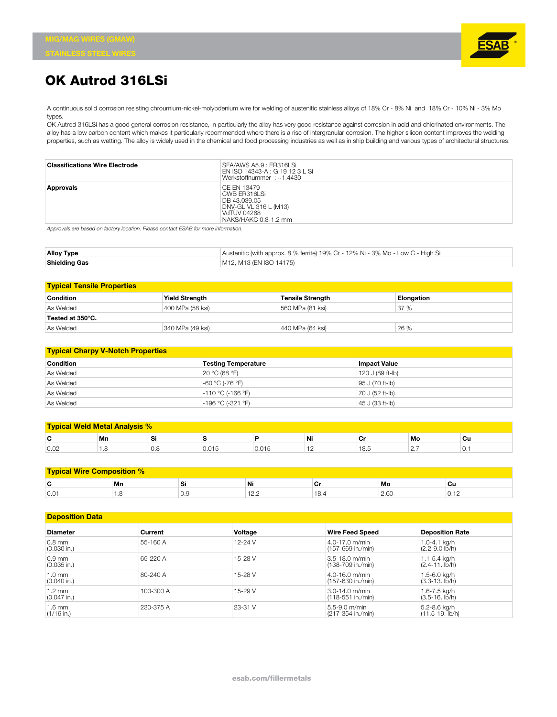

## **OK Autrod 316LSi**

A continuous solid corrosion resisting chroumium-nickel-molybdenium wire for welding of austenitic stainless alloys of 18% Cr - 8% Ni and 18% Cr - 10% Ni - 3% Mo types.

OK Autrod 316LSi has a good general corrosion resistance, in particularly the alloy has very good resistance against corrosion in acid and chlorinated environments. The alloy has a low carbon content which makes it particularly recommended where there is a risc of intergranular corrosion. The higher silicon content improves the welding properties, such as wetting. The alloy is widely used in the chemical and food processing industries as well as in ship building and various types of architectural structures.

| <b>Classifications Wire Electrode</b> | SFA/AWS A5.9 : ER316LSi<br>EN ISO 14343-A : G 19 12 3 L Si<br>Werkstoffnummer: ~1.4430                      |
|---------------------------------------|-------------------------------------------------------------------------------------------------------------|
| Approvals                             | CE EN 13479<br>CWB ER316LSi<br>DB 43.039.05<br>DNV-GL VL 316 L (M13)<br>VdTUV 04268<br>NAKS/HAKC 0.8-1.2 mm |

*Approvals are based on factory location. Please contact ESAB for more information.*

| <b>Alloy Type</b>    | Austenitic (with approx. 8 % ferrite) 19% Cr - 12% Ni - 3% Mo - Low C - High Si |
|----------------------|---------------------------------------------------------------------------------|
| <b>Shielding Gas</b> | M12, M13 (EN ISO 14175)                                                         |

| <b>Typical Tensile Properties</b> |                       |                         |            |  |  |
|-----------------------------------|-----------------------|-------------------------|------------|--|--|
| <b>Condition</b>                  | <b>Yield Strength</b> | <b>Tensile Strength</b> | Elongation |  |  |
| As Welded                         | 400 MPa (58 ksi)      | 560 MPa (81 ksi)        | 37 %       |  |  |
| Tested at 350°C.                  |                       |                         |            |  |  |
| As Welded                         | 340 MPa (49 ksi)      | 440 MPa (64 ksi)        | 26 %       |  |  |

| <b>Typical Charpy V-Notch Properties</b> |                            |                     |  |  |
|------------------------------------------|----------------------------|---------------------|--|--|
| <b>Condition</b>                         | <b>Testing Temperature</b> | <b>Impact Value</b> |  |  |
| As Welded                                | 20 °C (68 °F)              | 120 J (89 ft-lb)    |  |  |
| As Welded                                | -60 °C (-76 °F)            | 95 J (70 ft-lb)     |  |  |
| As Welded                                | $-110 °C$ (-166 °F)        | 70 J (52 ft-lb)     |  |  |
| As Welded                                | $-196$ °C (-321 °F)        | 45 J (33 ft-lb)     |  |  |

| <b>Typical Weld Metal Analysis %</b> |                 |                 |         |          |     |               |        |            |
|--------------------------------------|-----------------|-----------------|---------|----------|-----|---------------|--------|------------|
| r<br>                                | Mn              |                 |         |          | Ni  | <b>.</b><br>ັ | Mo     | Cu         |
| 0.02                                 | $\cdot$ $\cdot$ | $\cup$ . $\cup$ | U.U I J | 0. U I U | . . | 18.5          | $\sim$ | $\cup$ . 1 |

| <b>Typical Wire Composition %</b> |    |     |            |   |      |       |
|-----------------------------------|----|-----|------------|---|------|-------|
| $\overline{\phantom{a}}$<br>v     | Mn | ম   | Ni         |   | Mo   | Cu    |
| 0.01                              |    | ∪.∪ | . <u>.</u> | . | 2.60 | ◡. ⊥∠ |

| <b>Deposition Data</b>            |           |             |                                            |                                              |  |
|-----------------------------------|-----------|-------------|--------------------------------------------|----------------------------------------------|--|
| <b>Diameter</b>                   | Current   | Voltage     | <b>Wire Feed Speed</b>                     | <b>Deposition Rate</b>                       |  |
| $0.8$ mm<br>$(0.030$ in.)         | 55-160 A  | $12 - 24$ V | $4.0 - 17.0$ m/min<br>l (157-669 in./min)  | 1.0-4.1 ka/h<br>$(2.2 - 9.0 \, \text{lb/h})$ |  |
| $0.9$ mm<br>$(0.035$ in.)         | 65-220 A  | 15-28 V     | $3.5 - 18.0$ m/min<br>$(138-709)$ in./min) | 1.1-5.4 kg/h<br>$(2.4 - 11.$ lb/h)           |  |
| $1.0 \text{ mm}$<br>$(0.040$ in.) | 80-240 A  | 15-28 V     | $4.0 - 16.0$ m/min<br>(157-630 in./min)    | 1.5-6.0 kg/h<br>$(3.3-13.$ lb/h)             |  |
| $1.2 \text{ mm}$<br>$(0.047$ in.) | 100-300 A | $15-29V$    | $3.0 - 14.0$ m/min<br>(118-551 in./min)    | 1.6-7.5 kg/h<br>$(3.5-16.$ lb/h)             |  |
| $1.6 \text{ mm}$<br>$(1/16$ in.)  | 230-375 A | 23-31 V     | $5.5 - 9.0$ m/min<br>(217-354 in./min)     | 5.2-8.6 kg/h<br>$(11.5-19.$ lb/h)            |  |